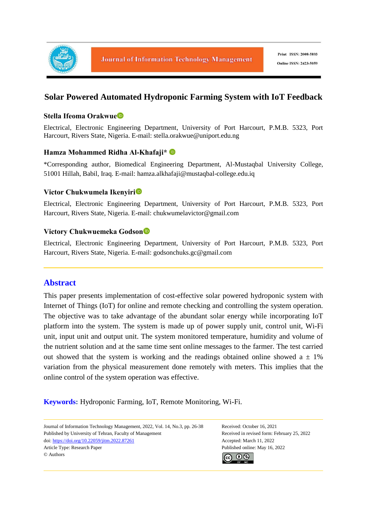

# **Solar Powered Automated Hydroponic Farming System with IoT Feedback**

### **Stella Ifeoma Orakwue**

Electrical, Electronic Engineering Department, University of Port Harcourt, P.M.B. 5323, Port Harcourt, Rivers State, Nigeria. E-mail: stella.orakwue@uniport.edu.ng

### **Hamza Mohammed Ridha Al-Khafaji\***

\*Corresponding author, Biomedical Engineering Department, Al-Mustaqbal University College, 51001 Hillah, Babil, Iraq. E-mail: hamza.alkhafaji@mustaqbal-college.edu.iq

### **Victor Chukwumela Ikenyiri**

Electrical, Electronic Engineering Department, University of Port Harcourt, P.M.B. 5323, Port Harcourt, Rivers State, Nigeria. E-mail: chukwumelavictor@gmail.com

### **Victory Chukwuemeka Godson**

Electrical, Electronic Engineering Department, University of Port Harcourt, P.M.B. 5323, Port Harcourt, Rivers State, Nigeria. E-mail: godsonchuks.gc@gmail.com

# **Abstract**

This paper presents implementation of cost-effective solar powered hydroponic system with Internet of Things (IoT) for online and remote checking and controlling the system operation. The objective was to take advantage of the abundant solar energy while incorporating IoT platform into the system. The system is made up of power supply unit, control unit, Wi-Fi unit, input unit and output unit. The system monitored temperature, humidity and volume of the nutrient solution and at the same time sent online messages to the farmer. The test carried out showed that the system is working and the readings obtained online showed  $a \pm 1\%$ variation from the physical measurement done remotely with meters. This implies that the online control of the system operation was effective.

**Keywords:** Hydroponic Farming, IoT, Remote Monitoring, Wi-Fi.

Journal of Information Technology Management, 2022, Vol. 14, No.3, pp. 26-38 Received: October 16, 2021 Published by University of Tehran, Faculty of Management Received in revised form: February 25, 2022 doi: https://doi.org/10.22059/jitm.2022.87261 Accepted: March 11, 2022 Article Type: Research Paper Published online: May 16, 2022 © Authors

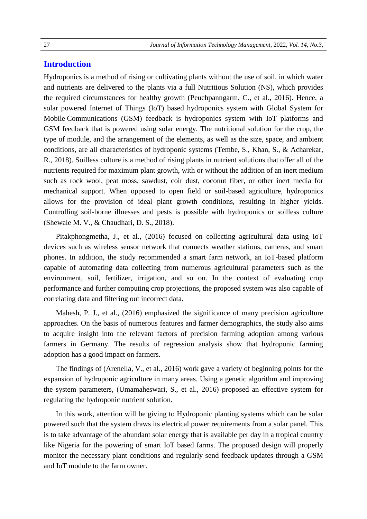# **Introduction**

Hydroponics is a method of rising or cultivating plants without the use of soil, in which water and nutrients are delivered to the plants via a full Nutritious Solution (NS), which provides the required circumstances for healthy growth (Peuchpanngarm, C., et al., 2016). Hence, a solar powered Internet of Things (IoT) based hydroponics system with Global System for Mobile Communications (GSM) feedback is hydroponics system with IoT platforms and GSM feedback that is powered using solar energy. The nutritional solution for the crop, the type of module, and the arrangement of the elements, as well as the size, space, and ambient conditions, are all characteristics of hydroponic systems (Tembe, S., Khan, S., & Acharekar, R., 2018). Soilless culture is a method of rising plants in nutrient solutions that offer all of the nutrients required for maximum plant growth, with or without the addition of an inert medium such as rock wool, peat moss, sawdust, coir dust, coconut fiber, or other inert media for mechanical support. When opposed to open field or soil-based agriculture, hydroponics allows for the provision of ideal plant growth conditions, resulting in higher yields. Controlling soil-borne illnesses and pests is possible with hydroponics or soilless culture (Shewale M. V., & Chaudhari, D. S., 2018).

Pitakphongmetha, J., et al., (2016) focused on collecting agricultural data using IoT devices such as wireless sensor network that connects weather stations, cameras, and smart phones. In addition, the study recommended a smart farm network, an IoT-based platform capable of automating data collecting from numerous agricultural parameters such as the environment, soil, fertilizer, irrigation, and so on. In the context of evaluating crop performance and further computing crop projections, the proposed system was also capable of correlating data and filtering out incorrect data.

Mahesh, P. J., et al., (2016) emphasized the significance of many precision agriculture approaches. On the basis of numerous features and farmer demographics, the study also aims to acquire insight into the relevant factors of precision farming adoption among various farmers in Germany. The results of regression analysis show that hydroponic farming adoption has a good impact on farmers.

The findings of (Arenella, V., et al., 2016) work gave a variety of beginning points for the expansion of hydroponic agriculture in many areas. Using a genetic algorithm and improving the system parameters, (Umamaheswari, S., et al., 2016) proposed an effective system for regulating the hydroponic nutrient solution.

In this work, attention will be giving to Hydroponic planting systems which can be solar powered such that the system draws its electrical power requirements from a solar panel. This is to take advantage of the abundant solar energy that is available per day in a tropical country like Nigeria for the powering of smart IoT based farms. The proposed design will properly monitor the necessary plant conditions and regularly send feedback updates through a GSM and IoT module to the farm owner.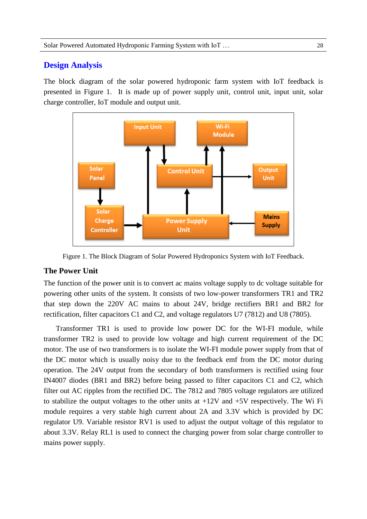# **Design Analysis**

The block diagram of the solar powered hydroponic farm system with IoT feedback is presented in Figure 1. It is made up of power supply unit, control unit, input unit, solar charge controller, IoT module and output unit.



Figure 1. The Block Diagram of Solar Powered Hydroponics System with IoT Feedback.

# **The Power Unit**

The function of the power unit is to convert ac mains voltage supply to dc voltage suitable for powering other units of the system. It consists of two low-power transformers TR1 and TR2 that step down the 220V AC mains to about 24V, bridge rectifiers BR1 and BR2 for rectification, filter capacitors C1 and C2, and voltage regulators U7 (7812) and U8 (7805).

Transformer TR1 is used to provide low power DC for the WI-FI module, while transformer TR2 is used to provide low voltage and high current requirement of the DC motor. The use of two transformers is to isolate the WI-FI module power supply from that of the DC motor which is usually noisy due to the feedback emf from the DC motor during operation. The 24V output from the secondary of both transformers is rectified using four IN4007 diodes (BR1 and BR2) before being passed to filter capacitors C1 and C2, which filter out AC ripples from the rectified DC. The 7812 and 7805 voltage regulators are utilized to stabilize the output voltages to the other units at  $+12V$  and  $+5V$  respectively. The Wi Fi module requires a very stable high current about 2A and 3.3V which is provided by DC regulator U9. Variable resistor RV1 is used to adjust the output voltage of this regulator to about 3.3V. Relay RL1 is used to connect the charging power from solar charge controller to mains power supply.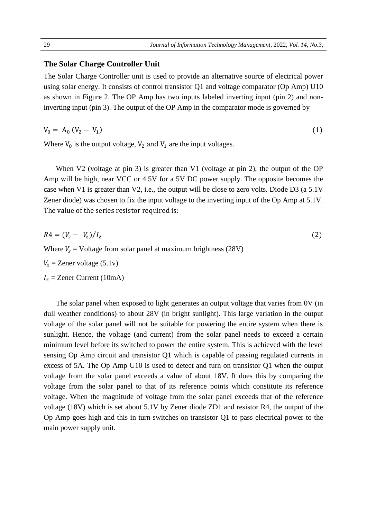#### **The Solar Charge Controller Unit**

The Solar Charge Controller unit is used to provide an alternative source of electrical power using solar energy. It consists of control transistor Q1 and voltage comparator (Op Amp) U10 as shown in Figure 2. The OP Amp has two inputs labeled inverting input (pin 2) and noninverting input (pin 3). The output of the OP Amp in the comparator mode is governed by

$$
V_0 = A_0 (V_2 - V_1) \tag{1}
$$

Where  $V_0$  is the output voltage,  $V_2$  and  $V_1$  are the input voltages.

When V2 (voltage at pin 3) is greater than V1 (voltage at pin 2), the output of the OP Amp will be high, near VCC or 4.5V for a 5V DC power supply. The opposite becomes the case when V1 is greater than V2, i.e., the output will be close to zero volts. Diode D3 (a 5.1V Zener diode) was chosen to fix the input voltage to the inverting input of the Op Amp at 5.1V. The value of the series resistor required is:

$$
R4 = (V_s - V_z)/I_z
$$
\nWhere  $V_s$  = Voltage from solar panel at maximum brightness (28V)

 $V_z$  = Zener voltage (5.1v)

 $I_z$  = Zener Current (10mA)

The solar panel when exposed to light generates an output voltage that varies from 0V (in dull weather conditions) to about 28V (in bright sunlight). This large variation in the output voltage of the solar panel will not be suitable for powering the entire system when there is sunlight. Hence, the voltage (and current) from the solar panel needs to exceed a certain minimum level before its switched to power the entire system. This is achieved with the level sensing Op Amp circuit and transistor Q1 which is capable of passing regulated currents in excess of 5A. The Op Amp U10 is used to detect and turn on transistor Q1 when the output voltage from the solar panel exceeds a value of about 18V. It does this by comparing the voltage from the solar panel to that of its reference points which constitute its reference voltage. When the magnitude of voltage from the solar panel exceeds that of the reference voltage (18V) which is set about 5.1V by Zener diode ZD1 and resistor R4, the output of the Op Amp goes high and this in turn switches on transistor Q1 to pass electrical power to the main power supply unit.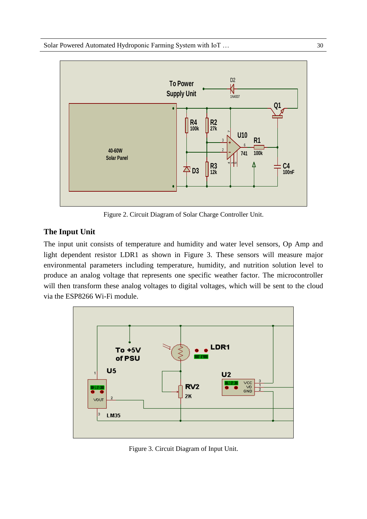

Figure 2. Circuit Diagram of Solar Charge Controller Unit.

# **The Input Unit**

The input unit consists of temperature and humidity and water level sensors, Op Amp and light dependent resistor LDR1 as shown in Figure 3. These sensors will measure major light dependent resistor LDR1 as shown in Figure 3. These sensors will measure major environmental parameters including temperature, humidity, and nutrition solution level to produce an analog voltage that represents one specific weather factor. The microcontroller will then transform these analog voltages to digital voltages, which will be sent to the cloud in FREDOCC 3VC Fig. 1.1 via the ESP8266 Wi-Fi module. **of PSU** 



Figure 3. Circuit Diagram of Input Unit.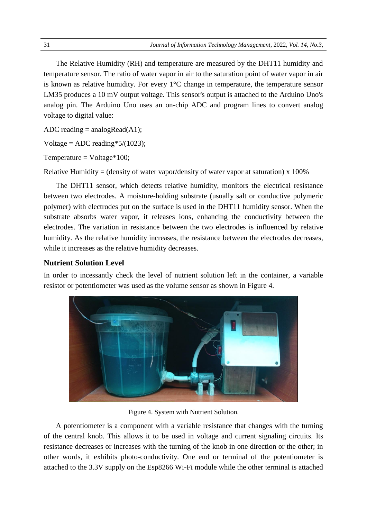The Relative Humidity (RH) and temperature are measured by the DHT11 humidity and temperature sensor. The ratio of water vapor in air to the saturation point of water vapor in air is known as relative humidity. For every 1°C change in temperature, the temperature sensor LM35 produces a 10 mV output voltage. This sensor's output is attached to the Arduino Uno's analog pin. The Arduino Uno uses an on-chip ADC and program lines to convert analog voltage to digital value:

ADC reading  $=$  analogRead(A1);

Voltage = ADC reading  $5/(1023)$ ;

Temperature =  $Voltage*100;$ 

Relative Humidity = (density of water vapor/density of water vapor at saturation)  $x$  100%

The DHT11 sensor, which detects relative humidity, monitors the electrical resistance between two electrodes. A moisture-holding substrate (usually salt or conductive polymeric polymer) with electrodes put on the surface is used in the DHT11 humidity sensor. When the substrate absorbs water vapor, it releases ions, enhancing the conductivity between the electrodes. The variation in resistance between the two electrodes is influenced by relative humidity. As the relative humidity increases, the resistance between the electrodes decreases, while it increases as the relative humidity decreases.

#### **Nutrient Solution Level**

In order to incessantly check the level of nutrient solution left in the container, a variable resistor or potentiometer was used as the volume sensor as shown in Figure 4.



Figure 4. System with Nutrient Solution.

A potentiometer is a component with a variable resistance that changes with the turning of the central knob. This allows it to be used in voltage and current signaling circuits. Its resistance decreases or increases with the turning of the knob in one direction or the other; in other words, it exhibits photo-conductivity. One end or terminal of the potentiometer is attached to the 3.3V supply on the Esp8266 Wi-Fi module while the other terminal is attached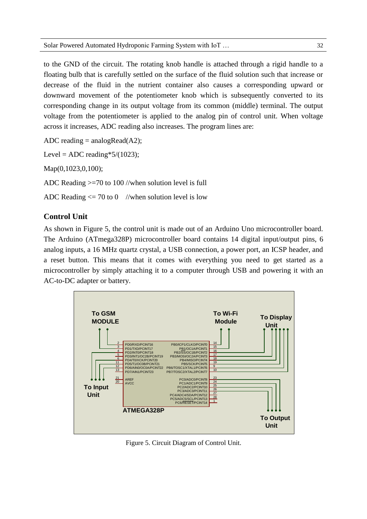to the GND of the circuit. The rotating knob handle is attached through a rigid handle to a floating bulb that is carefully settled on the surface of the fluid solution such that increase or decrease of the fluid in the nutrient container also causes a corresponding upward or downward movement of the potentiometer knob which is subsequently converted to its corresponding change in its output voltage from its common (middle) terminal. The output voltage from the potentiometer is applied to the analog pin of control unit. When voltage across it increases, ADC reading also increases. The program lines are:

ADC reading  $=$  analogRead(A2);

Level = ADC reading \*  $5/(1023)$ ;

Map(0,1023,0,100);

ADC Reading >=70 to 100 //when solution level is full

ADC Reading  $\leq$  70 to 0 //when solution level is low

## **Control Unit**

As shown in Figure 5, the control unit is made out of an Arduino Uno microcontroller board. The Arduino (ATmega328P) microcontroller board contains 14 digital input/output pins, 6 analog inputs, a 16 MHz quartz crystal, a USB connection, a power port, an ICSP header, and a reset button. This means that it comes with everything you need to get started as a microcontroller by simply attaching it to a computer through USB and powering it with an AC-to-DC adapter or battery.



Figure 5. Circuit Diagram of Control Unit.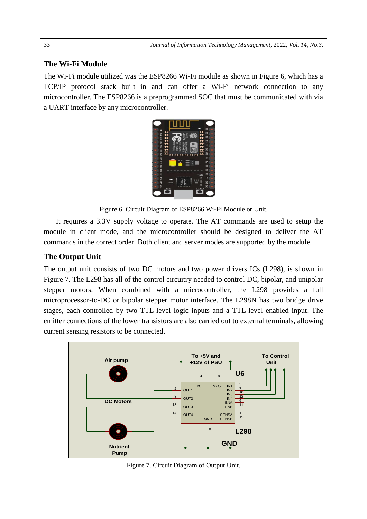## **The Wi-Fi Module**

The Wi-Fi module utilized was the ESP8266 Wi-Fi module as shown in Figure 6, which has a TCP/IP protocol stack built in and can offer a Wi-Fi network connection to any microcontroller. The ESP8266 is a preprogrammed SOC that must be communicated with via a UART interface by any microcontroller.



**Figure 6. Circuit Diagram of ESP8266 Wi-Fi Module or Unit. r** Unit Unit

It requires a 3.3V supply voltage to operate. The AT commands are used to setup the module in client mode, and the microcontroller should be designed to deliver the AT commands in the correct order. Both client and server modes are supported by the module.

#### **The Output Unit**  $\sim$   $\sim$

The output unit consists of two DC motors and two power drivers ICs (L298), is shown in Figure 7. The L298 has all of the control circuitry needed to control DC, bipolar, and unipolar stepper motors. When combined with a microcontroller, the L298 provides a full microprocessor-to-DC or bipolar stepper motor interface. The L298N has two bridge drive stages, each controlled by two TTL-level logic inputs and a TTL-level enabled input. The emitter connections of the lower transistors are also carried out to external terminals, allowing current sensing resistors to be connected. FORCES 4 The L298 has all of the control circuit<br>The L298 has all of the control circuit<br>motors. When combined with a **Trigur** 



Figure 7. Circuit Diagram of Output Unit.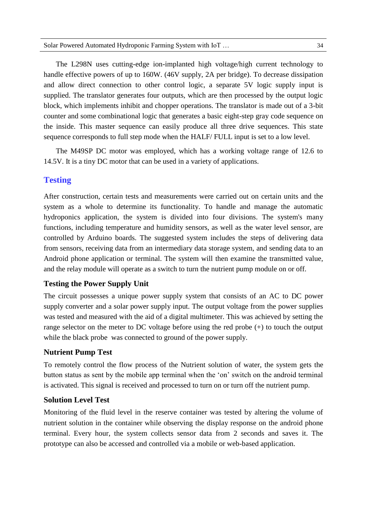The L298N uses cutting-edge ion-implanted high voltage/high current technology to handle effective powers of up to 160W. (46V supply, 2A per bridge). To decrease dissipation and allow direct connection to other control logic, a separate 5V logic supply input is supplied. The translator generates four outputs, which are then processed by the output logic block, which implements inhibit and chopper operations. The translator is made out of a 3-bit counter and some combinational logic that generates a basic eight-step gray code sequence on the inside. This master sequence can easily produce all three drive sequences. This state sequence corresponds to full step mode when the HALF/ FULL input is set to a low level.

The M49SP DC motor was employed, which has a working voltage range of 12.6 to 14.5V. It is a tiny DC motor that can be used in a variety of applications.

## **Testing**

After construction, certain tests and measurements were carried out on certain units and the system as a whole to determine its functionality. To handle and manage the automatic hydroponics application, the system is divided into four divisions. The system's many functions, including temperature and humidity sensors, as well as the water level sensor, are controlled by Arduino boards. The suggested system includes the steps of delivering data from sensors, receiving data from an intermediary data storage system, and sending data to an Android phone application or terminal. The system will then examine the transmitted value, and the relay module will operate as a switch to turn the nutrient pump module on or off.

#### **Testing the Power Supply Unit**

The circuit possesses a unique power supply system that consists of an AC to DC power supply converter and a solar power supply input. The output voltage from the power supplies was tested and measured with the aid of a digital multimeter. This was achieved by setting the range selector on the meter to DC voltage before using the red probe (+) to touch the output while the black probe was connected to ground of the power supply.

#### **Nutrient Pump Test**

To remotely control the flow process of the Nutrient solution of water, the system gets the button status as sent by the mobile app terminal when the 'on' switch on the android terminal is activated. This signal is received and processed to turn on or turn off the nutrient pump.

#### **Solution Level Test**

Monitoring of the fluid level in the reserve container was tested by altering the volume of nutrient solution in the container while observing the display response on the android phone terminal. Every hour, the system collects sensor data from 2 seconds and saves it. The prototype can also be accessed and controlled via a mobile or web-based application.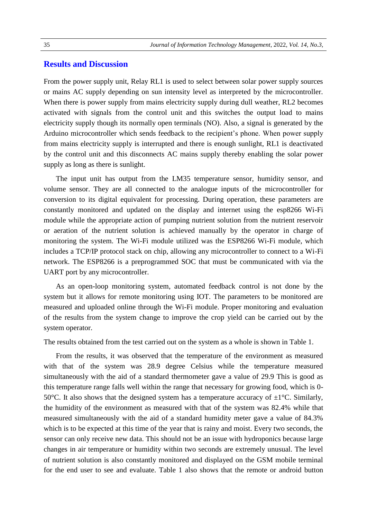### **Results and Discussion**

From the power supply unit, Relay RL1 is used to select between solar power supply sources or mains AC supply depending on sun intensity level as interpreted by the microcontroller. When there is power supply from mains electricity supply during dull weather, RL2 becomes activated with signals from the control unit and this switches the output load to mains electricity supply though its normally open terminals (NO). Also, a signal is generated by the Arduino microcontroller which sends feedback to the recipient's phone. When power supply from mains electricity supply is interrupted and there is enough sunlight, RL1 is deactivated by the control unit and this disconnects AC mains supply thereby enabling the solar power supply as long as there is sunlight.

The input unit has output from the LM35 temperature sensor, humidity sensor, and volume sensor. They are all connected to the analogue inputs of the microcontroller for conversion to its digital equivalent for processing. During operation, these parameters are constantly monitored and updated on the display and internet using the esp8266 Wi-Fi module while the appropriate action of pumping nutrient solution from the nutrient reservoir or aeration of the nutrient solution is achieved manually by the operator in charge of monitoring the system. The Wi-Fi module utilized was the ESP8266 Wi-Fi module, which includes a TCP/IP protocol stack on chip, allowing any microcontroller to connect to a Wi-Fi network. The ESP8266 is a preprogrammed SOC that must be communicated with via the UART port by any microcontroller.

As an open-loop monitoring system, automated feedback control is not done by the system but it allows for remote monitoring using IOT. The parameters to be monitored are measured and uploaded online through the Wi-Fi module. Proper monitoring and evaluation of the results from the system change to improve the crop yield can be carried out by the system operator.

The results obtained from the test carried out on the system as a whole is shown in Table 1.

From the results, it was observed that the temperature of the environment as measured with that of the system was 28.9 degree Celsius while the temperature measured simultaneously with the aid of a standard thermometer gave a value of 29.9 This is good as this temperature range falls well within the range that necessary for growing food, which is 0- 50°C. It also shows that the designed system has a temperature accuracy of  $\pm 1$ °C. Similarly, the humidity of the environment as measured with that of the system was 82.4% while that measured simultaneously with the aid of a standard humidity meter gave a value of 84.3% which is to be expected at this time of the year that is rainy and moist. Every two seconds, the sensor can only receive new data. This should not be an issue with hydroponics because large changes in air temperature or humidity within two seconds are extremely unusual. The level of nutrient solution is also constantly monitored and displayed on the GSM mobile terminal for the end user to see and evaluate. Table 1 also shows that the remote or android button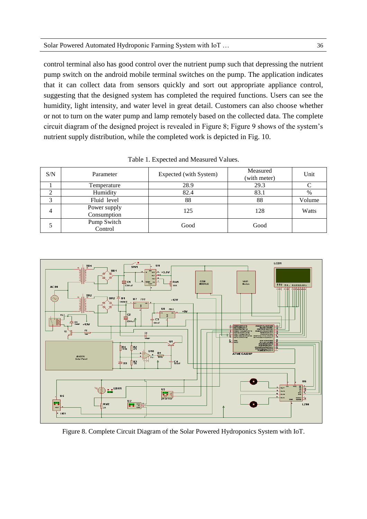control terminal also has good control over the nutrient pump such that depressing the nutrient pump switch on the android mobile terminal switches on the pump. The application indicates that it can collect data from sensors quickly and sort out appropriate appliance control, suggesting that the designed system has completed the required functions. Users can see the humidity, light intensity, and water level in great detail. Customers can also choose whether or not to turn on the water pump and lamp remotely based on the collected data. The complete circuit diagram of the designed project is revealed in Figure 8; Figure 9 shows of the system's nutrient supply distribution, while the completed work is depicted in Fig. 10.

| S/N | Parameter                   | Expected (with System) | Measured<br>(with meter) | Unit   |
|-----|-----------------------------|------------------------|--------------------------|--------|
|     | Temperature                 | 28.9                   | 29.3                     |        |
|     | Humidity                    | 82.4                   | 83.1                     | %      |
| 3   | Fluid level                 | 88                     | 88                       | Volume |
| 4   | Power supply<br>Consumption | 125                    | 128                      | Watts  |
|     | Pump Switch<br>Control      | Good                   | Good                     |        |

Table 1. Expected and Measured Values.



Figure 8. Complete Circuit Diagram of the Solar Powered Hydroponics System with IoT.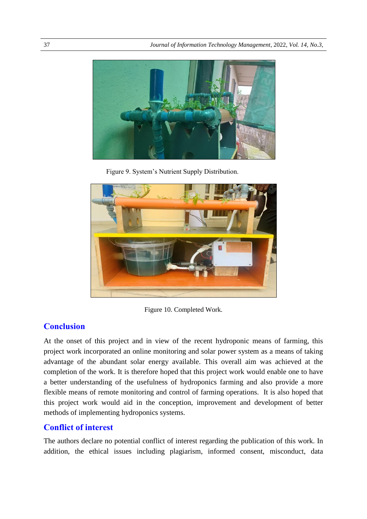

Figure 9. System's Nutrient Supply Distribution.



Figure 10. Completed Work.

## **Conclusion**

At the onset of this project and in view of the recent hydroponic means of farming, this project work incorporated an online monitoring and solar power system as a means of taking advantage of the abundant solar energy available. This overall aim was achieved at the completion of the work. It is therefore hoped that this project work would enable one to have a better understanding of the usefulness of hydroponics farming and also provide a more flexible means of remote monitoring and control of farming operations. It is also hoped that this project work would aid in the conception, improvement and development of better methods of implementing hydroponics systems.

## **Conflict of interest**

The authors declare no potential conflict of interest regarding the publication of this work. In addition, the ethical issues including plagiarism, informed consent, misconduct, data